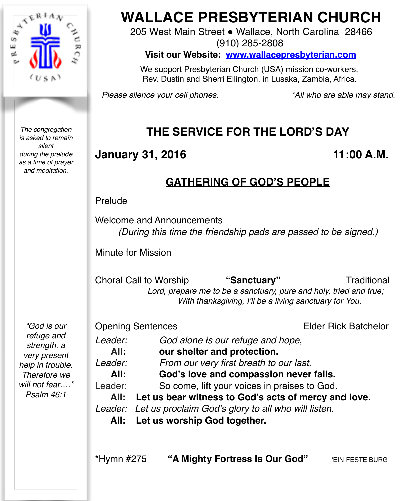

*The congregation is asked to remain silent during the prelude as a time of prayer and meditation.*

# **WALLACE PRESBYTERIAN CHURCH**

205 West Main Street . Wallace, North Carolina 28466 (910) 285-2808

**Visit our Website: [www.wallacepresbyterian.com](http://www.wallacepresbyterian.com)**

 We support Presbyterian Church (USA) mission co-workers, Rev. Dustin and Sherri Ellington, in Lusaka, Zambia, Africa.

*Please silence your cell phones. \*All who are able may stand.*

## **THE SERVICE FOR THE LORD'S DAY**

## **January 31, 2016 11:00 A.M.**

## **GATHERING OF GOD'S PEOPLE**

Prelude

Welcome and Announcements *(During this time the friendship pads are passed to be signed.)*

Minute for Mission

Choral Call to Worship **"Sanctuary"** Traditional  *Lord, prepare me to be a sanctuary, pure and holy, tried and true; With thanksgiving, I'll be a living sanctuary for You.*

*"God is our refuge and strength, a very present help in trouble. Therefore we will not fear…." Psalm 46:1*

**Opening Sentences** *Elder Rick Batchelor Leader: God alone is our refuge and hope,* All: our shelter and protection. *Leader: From our very first breath to our last,* **All: God's love and compassion never fails.** Leader: So come, lift your voices in praises to God.  **All: Let us bear witness to God's acts of mercy and love.** *Leader: Let us proclaim God's glory to all who will listen.*  **All: Let us worship God together.** \*Hymn #275 **"A Mighty Fortress Is Our God"** 'EIN FESTE BURG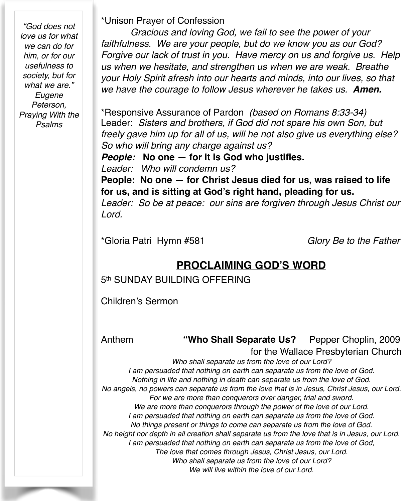*"God does not love us for what we can do for him, or for our usefulness to society, but for what we are." Eugene Peterson, Praying With the Psalms*

\*Unison Prayer of Confession

*Gracious and loving God, we fail to see the power of your faithfulness. We are your people, but do we know you as our God? Forgive our lack of trust in you. Have mercy on us and forgive us. Help us when we hesitate, and strengthen us when we are weak. Breathe your Holy Spirit afresh into our hearts and minds, into our lives, so that we have the courage to follow Jesus wherever he takes us. Amen.*

\*Responsive Assurance of Pardon *(based on Romans 8:33-34)* Leader: *Sisters and brothers, if God did not spare his own Son, but freely gave him up for all of us, will he not also give us everything else? So who will bring any charge against us?*

*People:* **No one — for it is God who justifies.**

*Leader: Who will condemn us?*

**People: No one — for Christ Jesus died for us, was raised to life for us, and is sitting at God's right hand, pleading for us.**

*Leader: So be at peace: our sins are forgiven through Jesus Christ our Lord.*

\*Gloria Patri Hymn #581 *Glory Be to the Father*

### **PROCLAIMING GOD'S WORD**

5<sup>th</sup> SUNDAY BUILDING OFFERING

Children's Sermon

#### Anthem **"Who Shall Separate Us?** Pepper Choplin, 2009 for the Wallace Presbyterian Church

*Who shall separate us from the love of our Lord? I am persuaded that nothing on earth can separate us from the love of God. Nothing in life and nothing in death can separate us from the love of God. No angels, no powers can separate us from the love that is in Jesus, Christ Jesus, our Lord. For we are more than conquerors over danger, trial and sword. We are more than conquerors through the power of the love of our Lord. I am persuaded that nothing on earth can separate us from the love of God. No things present or things to come can separate us from the love of God. No height nor depth in all creation shall separate us from the love that is in Jesus, our Lord. I am persuaded that nothing on earth can separate us from the love of God, The love that comes through Jesus, Christ Jesus, our Lord. Who shall separate us from the love of our Lord? We will live within the love of our Lord.*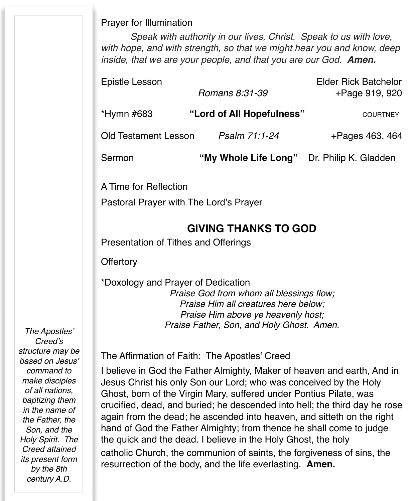#### Prayer for Illumination

*Speak with authority in our lives, Christ. Speak to us with love, with hope, and with strength, so that we might hear you and know, deep inside, that we are your people, and that you are our God. Amen.*

| Epistle Lesson              |                                            | <b>Elder Rick Batchelor</b> |
|-----------------------------|--------------------------------------------|-----------------------------|
|                             | Romans 8:31-39                             | +Page 919, 920              |
| *Hymn #683                  | "Lord of All Hopefulness"                  | <b>COURTNEY</b>             |
| <b>Old Testament Lesson</b> | Psalm 71:1-24                              | +Pages 463, 464             |
| Sermon                      | "My Whole Life Long" Dr. Philip K. Gladden |                             |
|                             |                                            |                             |

A Time for Reflection

Pastoral Prayer with The Lord's Prayer

### **GIVING THANKS TO GOD**

Presentation of Tithes and Offerings

**Offertory** 

\*Doxology and Prayer of Dedication *Praise God from whom all blessings flow; Praise Him all creatures here below; Praise Him above ye heavenly host; Praise Father, Son, and Holy Ghost. Amen.*

*The Apostles' Creed's structure may be based on Jesus' command to make disciples of all nations, baptizing them in the name of the Father, the Son, and the Holy Spirit. The Creed attained its present form by the 8th century A.D.* 

#### The Affirmation of Faith: The Apostles' Creed

I believe in God the Father Almighty, Maker of heaven and earth, And in Jesus Christ his only Son our Lord; who was conceived by the Holy Ghost, born of the Virgin Mary, suffered under Pontius Pilate, was crucified, dead, and buried; he descended into hell; the third day he rose again from the dead; he ascended into heaven, and sitteth on the right hand of God the Father Almighty; from thence he shall come to judge the quick and the dead. I believe in the Holy Ghost, the holy catholic Church, the communion of saints, the forgiveness of sins, the resurrection of the body, and the life everlasting. **Amen.**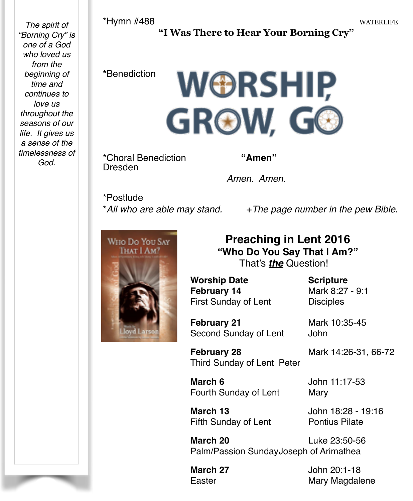*The spirit of "Borning Cry" is one of a God who loved us from the beginning of time and continues to love us throughout the seasons of our life. It gives us a sense of the timelessness of God.*

#### **"I Was There to Hear Your Borning Cry"**

#### **\***Benediction

**WORSHIP** GROW, GO

\*Choral Benediction **"Amen"**<br>Dresden

*Amen. Amen.*

\*Postlude

\*<sup>*All who are able may stand.* +*The page number in the pew Bible.*</sup>



### **Preaching in Lent 2016 "Who Do You Say That I Am?"** That's *the* Question!

**Worship Date <b>19. Scripture February 14** Mark 8:27 - 9:1 First Sunday of Lent **Disciples** 

**February 21** Mark 10:35-45 Second Sunday of Lent John

**February 28** Mark 14:26-31, 66-72 Third Sunday of Lent Peter

**March 6 John 11:17-53** Fourth Sunday of Lent Mary

**March 13 13 John 18:28 - 19:16** Fifth Sunday of Lent Pontius Pilate

**March 20 23:50-56** Palm/Passion SundayJoseph of Arimathea

**March 27 John 20:1-18** Easter **Easter** Mary Magdalene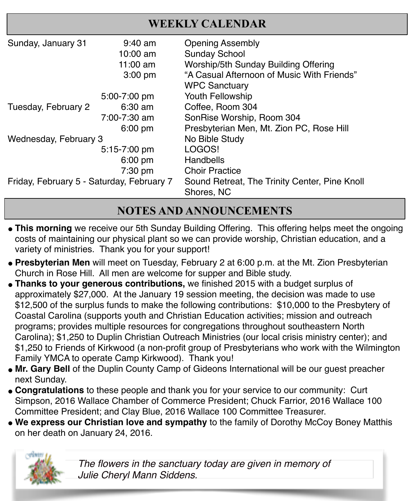|                                           |                   | WEEKLY CALENDAR                               |
|-------------------------------------------|-------------------|-----------------------------------------------|
| Sunday, January 31                        | $9:40 \text{ am}$ | <b>Opening Assembly</b>                       |
|                                           | $10:00$ am        | <b>Sunday School</b>                          |
|                                           | 11:00 $am$        | Worship/5th Sunday Building Offering          |
|                                           | $3:00$ pm         | "A Casual Afternoon of Music With Friends"    |
|                                           |                   | <b>WPC Sanctuary</b>                          |
|                                           | 5:00-7:00 pm      | Youth Fellowship                              |
| Tuesday, February 2                       | $6:30$ am         | Coffee, Room 304                              |
|                                           | 7:00-7:30 am      | SonRise Worship, Room 304                     |
|                                           | $6:00$ pm         | Presbyterian Men, Mt. Zion PC, Rose Hill      |
| Wednesday, February 3                     |                   | No Bible Study                                |
|                                           | 5:15-7:00 pm      | LOGOS!                                        |
|                                           | $6:00$ pm         | Handbells                                     |
|                                           | 7:30 pm           | <b>Choir Practice</b>                         |
| Friday, February 5 - Saturday, February 7 |                   | Sound Retreat, The Trinity Center, Pine Knoll |
|                                           |                   | Shores, NC                                    |

## **NOTES AND ANNOUNCEMENTS**

- **This morning** we receive our 5th Sunday Building Offering. This offering helps meet the ongoing costs of maintaining our physical plant so we can provide worship, Christian education, and a variety of ministries. Thank you for your support!
- **Presbyterian Men** will meet on Tuesday, February 2 at 6:00 p.m. at the Mt. Zion Presbyterian Church in Rose Hill. All men are welcome for supper and Bible study.
- **Thanks to your generous contributions,** we finished 2015 with a budget surplus of approximately \$27,000. At the January 19 session meeting, the decision was made to use \$12,500 of the surplus funds to make the following contributions: \$10,000 to the Presbytery of Coastal Carolina (supports youth and Christian Education activities; mission and outreach programs; provides multiple resources for congregations throughout southeastern North Carolina); \$1,250 to Duplin Christian Outreach Ministries (our local crisis ministry center); and \$1,250 to Friends of Kirkwood (a non-profit group of Presbyterians who work with the Wilmington Family YMCA to operate Camp Kirkwood). Thank you!
- **. Mr. Gary Bell** of the Duplin County Camp of Gideons International will be our guest preacher next Sunday.
- " **Congratulations** to these people and thank you for your service to our community: Curt Simpson, 2016 Wallace Chamber of Commerce President; Chuck Farrior, 2016 Wallace 100 Committee President; and Clay Blue, 2016 Wallace 100 Committee Treasurer. !
- **. We express our Christian love and sympathy** to the family of Dorothy McCoy Boney Matthis on her death on January 24, 2016.



*The flowers in the sanctuary today are given in memory of Julie Cheryl Mann Siddens.*